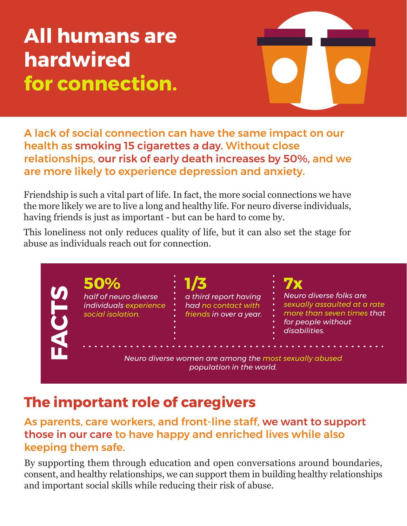**All humans are hardwired for connection.**



A lack of social connection can have the same impact on our health as smoking 15 cigarettes a day. Without close relationships, our risk of early death increases by 50%, and we are more likely to experience depression and anxiety.

Friendship is such a vital part of life. In fact, the more social connections we have the more likely we are to live a long and healthy life. For neuro diverse individuals, having friends is just as important - but can be hard to come by.

This loneliness not only reduces quality of life, but it can also set the stage for abuse as individuals reach out for connection.

*half of neuro diverse individuals experience social isolation. a third report having had no contact with friends in over a year. Neuro diverse folks are sexually assaulted at a rate more than seven times that for people without disabilities. Neuro diverse women are among the most sexually abused population in the world.* **50% 1/3 7x FACTS**

## **The important role of caregivers**

As parents, care workers, and front-line staff, we want to support those in our care to have happy and enriched lives while also keeping them safe.

By supporting them through education and open conversations around boundaries, consent, and healthy relationships, we can support them in building healthy relationships and important social skills while reducing their risk of abuse.